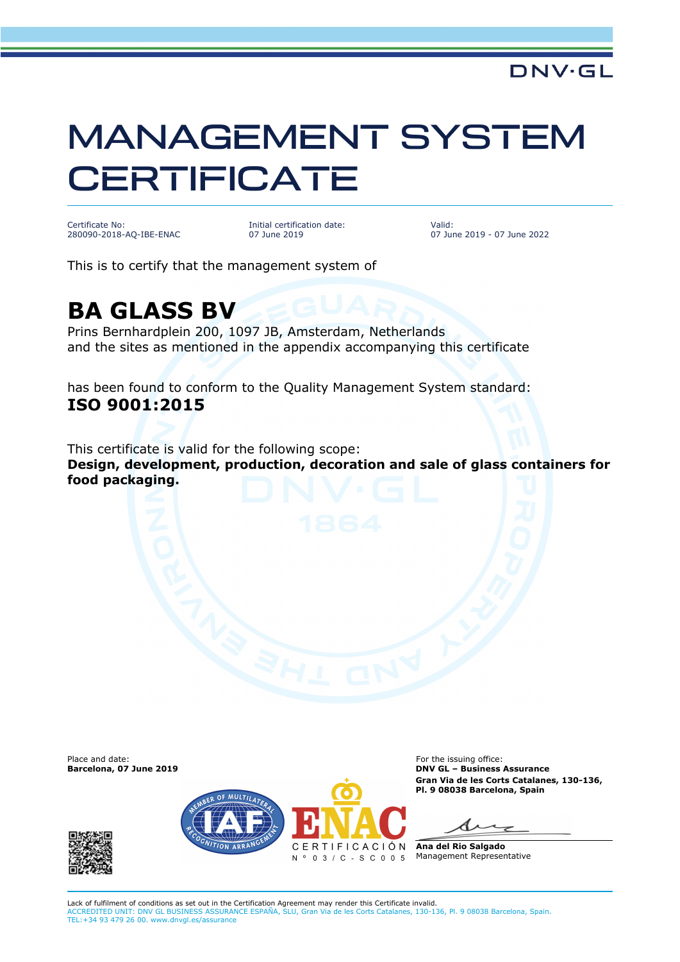## MANAGEMENT SYSTEM **CERTIFICATE**

Certificate No: 280090-2018-AQ-IBE-ENAC Initial certification date: 07 June 2019

Valid: 07 June 2019 - 07 June 2022

This is to certify that the management system of

## **BA GLASS BV**

Prins Bernhardplein 200, 1097 JB, Amsterdam, Netherlands and the sites as mentioned in the appendix accompanying this certificate

has been found to conform to the Quality Management System standard: **ISO 9001:2015**

This certificate is valid for the following scope: **Design, development, production, decoration and sale of glass containers for food packaging.**

Place and date: For the issuing office:<br> **Barcelona, 07 June 2019 Example 2019 Example 2019 Example 2019 Example 2019** 





**DNV GL – Business Assurance Gran Via de les Corts Catalanes, 130-136, Pl. 9 08038 Barcelona, Spain**

**Ana del Rio Salgado** Management Representative

Lack of fulfilment of conditions as set out in the Certification Agreement may render this Certificate invalid. ACCREDITED UNIT: DNV GL BUSINESS ASSURANCE ESPAÑA, SLU, Gran Via de les Corts Catalanes, 130-136, Pl. 9 08038 Barcelona, Spain. TEL:+34 93 479 26 00. www.dnvgl.es/assurance